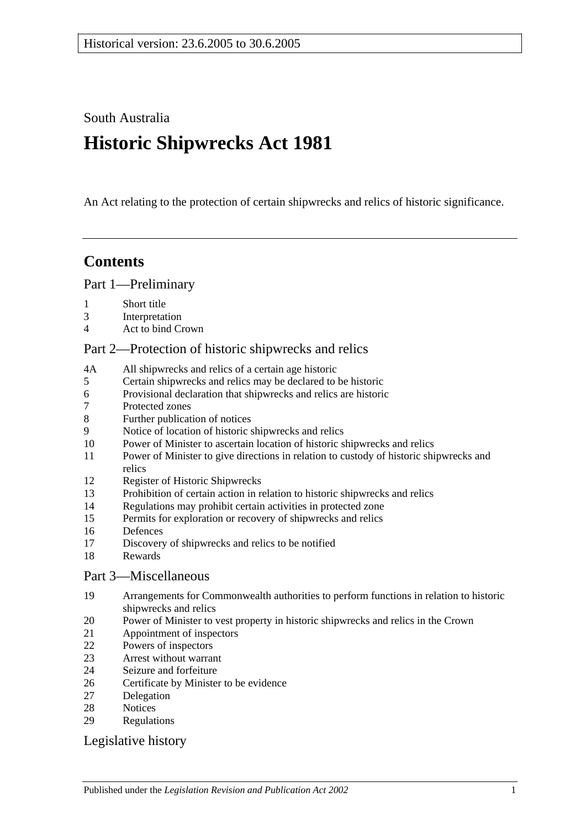South Australia

# **Historic Shipwrecks Act 1981**

An Act relating to the protection of certain shipwrecks and relics of historic significance.

# **Contents**

[Part 1—Preliminary](#page-1-0)

- [Short title](#page-1-1)
- [Interpretation](#page-1-2)
- [Act to bind Crown](#page-2-0)

# [Part 2—Protection of historic shipwrecks and relics](#page-2-1)

- 4A [All shipwrecks and relics of a certain age historic](#page-2-2)
- [Certain shipwrecks and relics may be declared to be historic](#page-2-3)
- [Provisional declaration that shipwrecks and relics are historic](#page-3-0)
- [Protected zones](#page-3-1)
- [Further publication of notices](#page-3-2)
- [Notice of location of historic shipwrecks and relics](#page-3-3)
- [Power of Minister to ascertain location of historic shipwrecks and relics](#page-4-0)
- [Power of Minister to give directions in relation to custody of historic shipwrecks and](#page-5-0)  [relics](#page-5-0)
- [Register of Historic Shipwrecks](#page-5-1)
- [Prohibition of certain action in relation to historic shipwrecks and relics](#page-6-0)
- [Regulations may prohibit certain activities in protected zone](#page-6-1)
- [Permits for exploration or recovery of shipwrecks and relics](#page-7-0)
- [Defences](#page-8-0)
- [Discovery of shipwrecks and relics to be notified](#page-8-1)
- [Rewards](#page-8-2)

#### [Part 3—Miscellaneous](#page-9-0)

- [Arrangements for Commonwealth authorities to perform functions in relation to historic](#page-9-1)  [shipwrecks and relics](#page-9-1)
- [Power of Minister to vest property in historic shipwrecks and relics in the Crown](#page-9-2)
- [Appointment of inspectors](#page-9-3)
- [Powers of inspectors](#page-10-0)
- [Arrest without warrant](#page-11-0)
- [Seizure and forfeiture](#page-11-1)
- [Certificate by Minister to be evidence](#page-12-0)
- [Delegation](#page-12-1)
- [Notices](#page-12-2)
- [Regulations](#page-12-3)

#### [Legislative history](#page-13-0)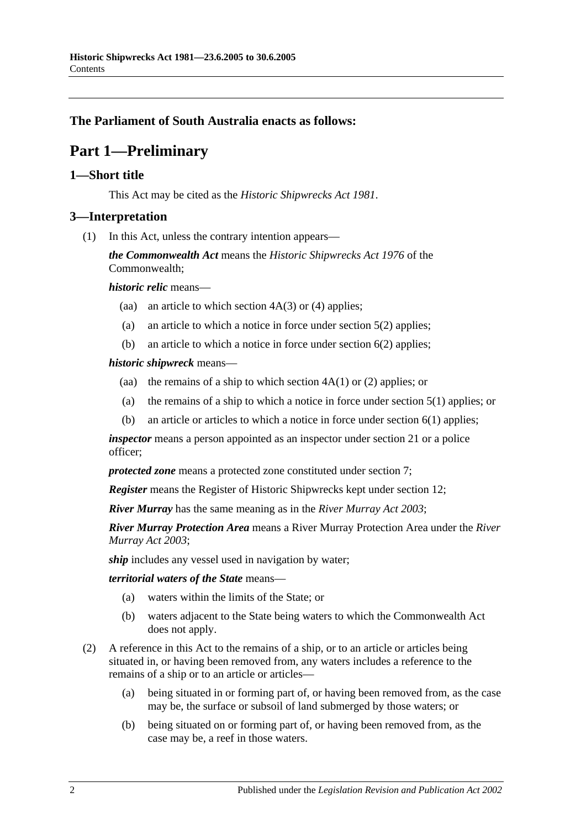### <span id="page-1-0"></span>**The Parliament of South Australia enacts as follows:**

# **Part 1—Preliminary**

#### <span id="page-1-1"></span>**1—Short title**

This Act may be cited as the *Historic Shipwrecks Act 1981*.

#### <span id="page-1-2"></span>**3—Interpretation**

(1) In this Act, unless the contrary intention appears—

*the Commonwealth Act* means the *Historic Shipwrecks Act 1976* of the Commonwealth;

*historic relic* means—

- (aa) an article to which [section](#page-2-4)  $4A(3)$  or [\(4\)](#page-2-5) applies;
- (a) an article to which a notice in force under section 5(2) applies;
- (b) an article to which a notice in force under [section](#page-3-4) 6(2) applies;

#### *historic shipwreck* means—

- (aa) the remains of a ship to which [section](#page-2-6)  $4A(1)$  or [\(2\)](#page-2-7) applies; or
- (a) the remains of a ship to which a notice in force under section 5(1) applies; or
- (b) an article or articles to which a notice in force under [section](#page-3-5) 6(1) applies;

*inspector* means a person appointed as an inspector under [section](#page-9-3) 21 or a police officer;

*protected zone* means a protected zone constituted under [section](#page-3-1) 7;

*Register* means the Register of Historic Shipwrecks kept under [section](#page-5-1) 12;

*River Murray* has the same meaning as in the *[River Murray Act](http://www.legislation.sa.gov.au/index.aspx?action=legref&type=act&legtitle=River%20Murray%20Act%202003) 2003*;

*River Murray Protection Area* means a River Murray Protection Area under the *[River](http://www.legislation.sa.gov.au/index.aspx?action=legref&type=act&legtitle=River%20Murray%20Act%202003)  [Murray Act](http://www.legislation.sa.gov.au/index.aspx?action=legref&type=act&legtitle=River%20Murray%20Act%202003) 2003*;

*ship* includes any vessel used in navigation by water;

*territorial waters of the State* means—

- (a) waters within the limits of the State; or
- (b) waters adjacent to the State being waters to which the Commonwealth Act does not apply.
- (2) A reference in this Act to the remains of a ship, or to an article or articles being situated in, or having been removed from, any waters includes a reference to the remains of a ship or to an article or articles—
	- (a) being situated in or forming part of, or having been removed from, as the case may be, the surface or subsoil of land submerged by those waters; or
	- (b) being situated on or forming part of, or having been removed from, as the case may be, a reef in those waters.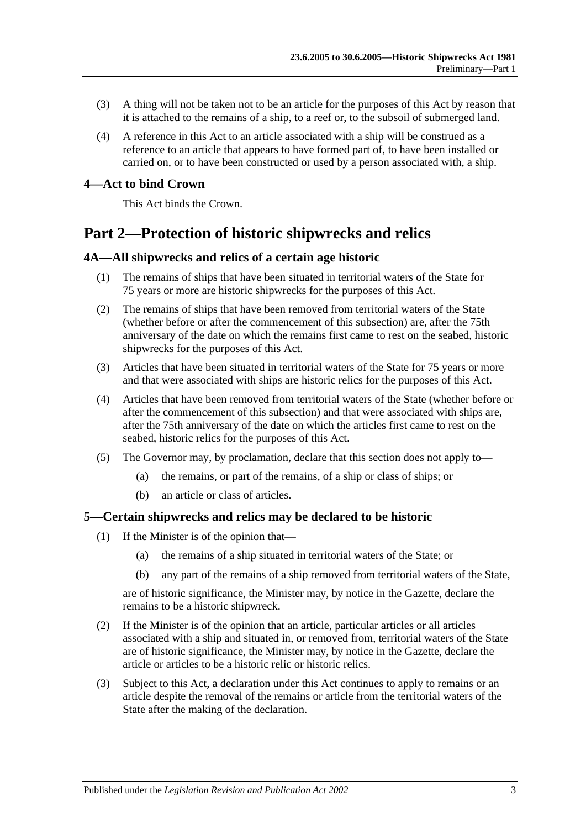- (3) A thing will not be taken not to be an article for the purposes of this Act by reason that it is attached to the remains of a ship, to a reef or, to the subsoil of submerged land.
- (4) A reference in this Act to an article associated with a ship will be construed as a reference to an article that appears to have formed part of, to have been installed or carried on, or to have been constructed or used by a person associated with, a ship.

#### <span id="page-2-0"></span>**4—Act to bind Crown**

This Act binds the Crown.

# <span id="page-2-1"></span>**Part 2—Protection of historic shipwrecks and relics**

#### <span id="page-2-6"></span><span id="page-2-2"></span>**4A—All shipwrecks and relics of a certain age historic**

- (1) The remains of ships that have been situated in territorial waters of the State for 75 years or more are historic shipwrecks for the purposes of this Act.
- <span id="page-2-7"></span>(2) The remains of ships that have been removed from territorial waters of the State (whether before or after the commencement of this subsection) are, after the 75th anniversary of the date on which the remains first came to rest on the seabed, historic shipwrecks for the purposes of this Act.
- <span id="page-2-4"></span>(3) Articles that have been situated in territorial waters of the State for 75 years or more and that were associated with ships are historic relics for the purposes of this Act.
- <span id="page-2-5"></span>(4) Articles that have been removed from territorial waters of the State (whether before or after the commencement of this subsection) and that were associated with ships are, after the 75th anniversary of the date on which the articles first came to rest on the seabed, historic relics for the purposes of this Act.
- (5) The Governor may, by proclamation, declare that this section does not apply to—
	- (a) the remains, or part of the remains, of a ship or class of ships; or
	- (b) an article or class of articles.

#### <span id="page-2-3"></span>**5—Certain shipwrecks and relics may be declared to be historic**

- (1) If the Minister is of the opinion that—
	- (a) the remains of a ship situated in territorial waters of the State; or
	- (b) any part of the remains of a ship removed from territorial waters of the State,

are of historic significance, the Minister may, by notice in the Gazette, declare the remains to be a historic shipwreck.

- (2) If the Minister is of the opinion that an article, particular articles or all articles associated with a ship and situated in, or removed from, territorial waters of the State are of historic significance, the Minister may, by notice in the Gazette, declare the article or articles to be a historic relic or historic relics.
- (3) Subject to this Act, a declaration under this Act continues to apply to remains or an article despite the removal of the remains or article from the territorial waters of the State after the making of the declaration.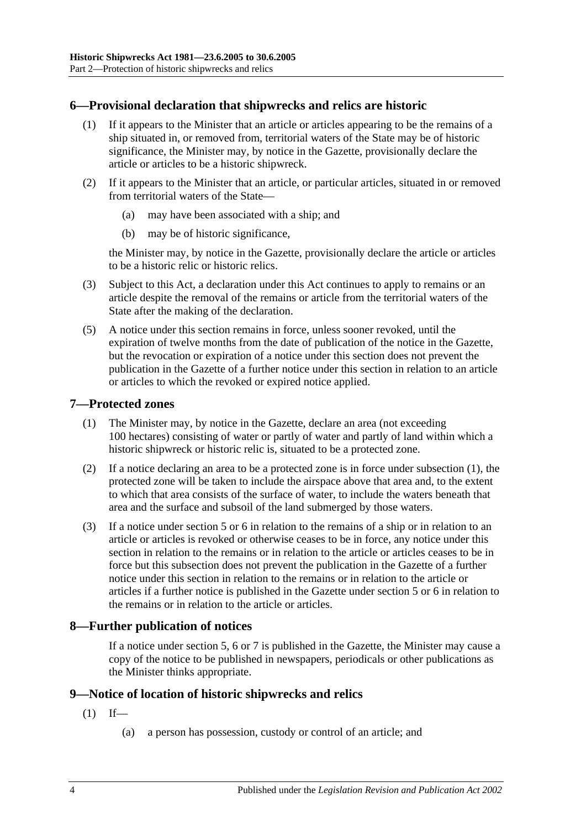# <span id="page-3-5"></span><span id="page-3-0"></span>**6—Provisional declaration that shipwrecks and relics are historic**

- (1) If it appears to the Minister that an article or articles appearing to be the remains of a ship situated in, or removed from, territorial waters of the State may be of historic significance, the Minister may, by notice in the Gazette, provisionally declare the article or articles to be a historic shipwreck.
- <span id="page-3-4"></span>(2) If it appears to the Minister that an article, or particular articles, situated in or removed from territorial waters of the State—
	- (a) may have been associated with a ship; and
	- (b) may be of historic significance,

the Minister may, by notice in the Gazette, provisionally declare the article or articles to be a historic relic or historic relics.

- (3) Subject to this Act, a declaration under this Act continues to apply to remains or an article despite the removal of the remains or article from the territorial waters of the State after the making of the declaration.
- (5) A notice under this section remains in force, unless sooner revoked, until the expiration of twelve months from the date of publication of the notice in the Gazette, but the revocation or expiration of a notice under this section does not prevent the publication in the Gazette of a further notice under this section in relation to an article or articles to which the revoked or expired notice applied.

# <span id="page-3-6"></span><span id="page-3-1"></span>**7—Protected zones**

- (1) The Minister may, by notice in the Gazette, declare an area (not exceeding 100 hectares) consisting of water or partly of water and partly of land within which a historic shipwreck or historic relic is, situated to be a protected zone.
- (2) If a notice declaring an area to be a protected zone is in force under [subsection](#page-3-6) (1), the protected zone will be taken to include the airspace above that area and, to the extent to which that area consists of the surface of water, to include the waters beneath that area and the surface and subsoil of the land submerged by those waters.
- (3) If a notice under section 5 or [6](#page-3-0) in relation to the remains of a ship or in relation to an article or articles is revoked or otherwise ceases to be in force, any notice under this section in relation to the remains or in relation to the article or articles ceases to be in force but this subsection does not prevent the publication in the Gazette of a further notice under this section in relation to the remains or in relation to the article or articles if a further notice is published in the Gazette under section 5 or [6](#page-3-0) in relation to the remains or in relation to the article or articles.

#### <span id="page-3-2"></span>**8—Further publication of notices**

If a notice under section 5, [6](#page-3-0) or [7](#page-3-1) is published in the Gazette, the Minister may cause a copy of the notice to be published in newspapers, periodicals or other publications as the Minister thinks appropriate.

#### <span id="page-3-7"></span><span id="page-3-3"></span>**9—Notice of location of historic shipwrecks and relics**

- $(1)$  If—
	- (a) a person has possession, custody or control of an article; and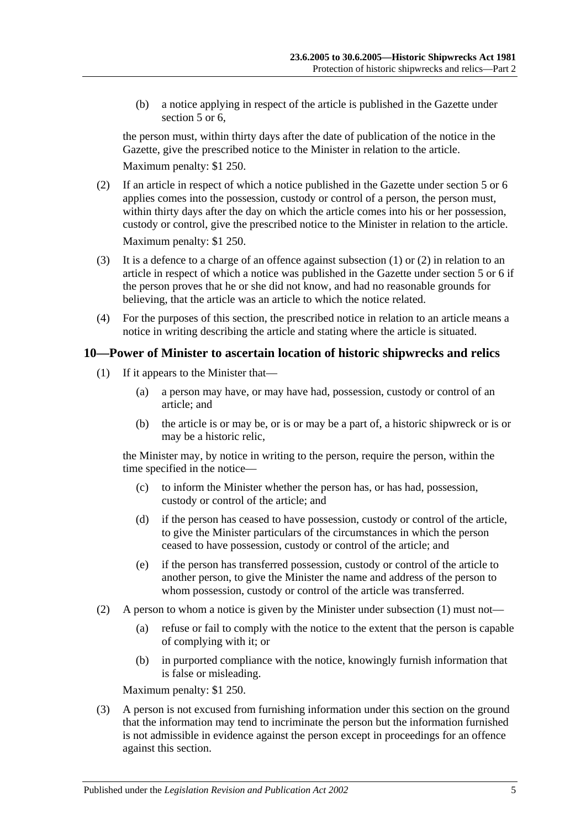(b) a notice applying in respect of the article is published in the Gazette under section 5 or 6.

the person must, within thirty days after the date of publication of the notice in the Gazette, give the prescribed notice to the Minister in relation to the article.

Maximum penalty: \$1 250.

- <span id="page-4-1"></span>(2) If an article in respect of which a notice published in the Gazette under section 5 or [6](#page-3-0) applies comes into the possession, custody or control of a person, the person must, within thirty days after the day on which the article comes into his or her possession. custody or control, give the prescribed notice to the Minister in relation to the article. Maximum penalty: \$1 250.
- (3) It is a defence to a charge of an offence against [subsection](#page-3-7) (1) or [\(2\)](#page-4-1) in relation to an article in respect of which a notice was published in the Gazette under section 5 or [6](#page-3-0) if the person proves that he or she did not know, and had no reasonable grounds for believing, that the article was an article to which the notice related.
- (4) For the purposes of this section, the prescribed notice in relation to an article means a notice in writing describing the article and stating where the article is situated.

# <span id="page-4-2"></span><span id="page-4-0"></span>**10—Power of Minister to ascertain location of historic shipwrecks and relics**

- (1) If it appears to the Minister that—
	- (a) a person may have, or may have had, possession, custody or control of an article; and
	- (b) the article is or may be, or is or may be a part of, a historic shipwreck or is or may be a historic relic,

the Minister may, by notice in writing to the person, require the person, within the time specified in the notice—

- (c) to inform the Minister whether the person has, or has had, possession, custody or control of the article; and
- (d) if the person has ceased to have possession, custody or control of the article, to give the Minister particulars of the circumstances in which the person ceased to have possession, custody or control of the article; and
- (e) if the person has transferred possession, custody or control of the article to another person, to give the Minister the name and address of the person to whom possession, custody or control of the article was transferred.
- (2) A person to whom a notice is given by the Minister under [subsection](#page-4-2) (1) must not—
	- (a) refuse or fail to comply with the notice to the extent that the person is capable of complying with it; or
	- (b) in purported compliance with the notice, knowingly furnish information that is false or misleading.

Maximum penalty: \$1 250.

(3) A person is not excused from furnishing information under this section on the ground that the information may tend to incriminate the person but the information furnished is not admissible in evidence against the person except in proceedings for an offence against this section.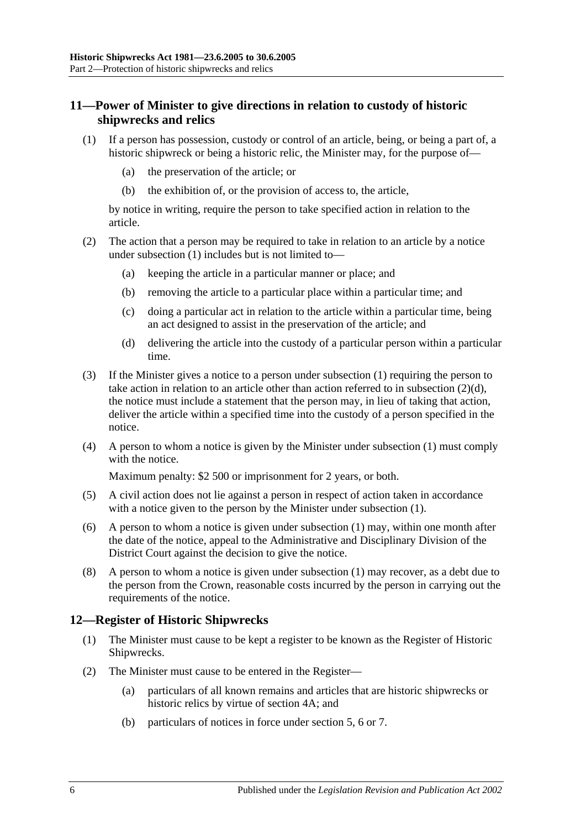# <span id="page-5-0"></span>**11—Power of Minister to give directions in relation to custody of historic shipwrecks and relics**

- <span id="page-5-2"></span>(1) If a person has possession, custody or control of an article, being, or being a part of, a historic shipwreck or being a historic relic, the Minister may, for the purpose of—
	- (a) the preservation of the article; or
	- (b) the exhibition of, or the provision of access to, the article,

by notice in writing, require the person to take specified action in relation to the article.

- (2) The action that a person may be required to take in relation to an article by a notice under [subsection](#page-5-2) (1) includes but is not limited to—
	- (a) keeping the article in a particular manner or place; and
	- (b) removing the article to a particular place within a particular time; and
	- (c) doing a particular act in relation to the article within a particular time, being an act designed to assist in the preservation of the article; and
	- (d) delivering the article into the custody of a particular person within a particular time.
- <span id="page-5-3"></span>(3) If the Minister gives a notice to a person under [subsection](#page-5-2) (1) requiring the person to take action in relation to an article other than action referred to in [subsection](#page-5-3) (2)(d), the notice must include a statement that the person may, in lieu of taking that action, deliver the article within a specified time into the custody of a person specified in the notice.
- (4) A person to whom a notice is given by the Minister under [subsection](#page-5-2) (1) must comply with the notice.

Maximum penalty: \$2 500 or imprisonment for 2 years, or both.

- (5) A civil action does not lie against a person in respect of action taken in accordance with a notice given to the person by the Minister under [subsection](#page-5-2) (1).
- (6) A person to whom a notice is given under [subsection](#page-5-2) (1) may, within one month after the date of the notice, appeal to the Administrative and Disciplinary Division of the District Court against the decision to give the notice.
- (8) A person to whom a notice is given under [subsection](#page-5-2) (1) may recover, as a debt due to the person from the Crown, reasonable costs incurred by the person in carrying out the requirements of the notice.

#### <span id="page-5-1"></span>**12—Register of Historic Shipwrecks**

- (1) The Minister must cause to be kept a register to be known as the Register of Historic Shipwrecks.
- (2) The Minister must cause to be entered in the Register—
	- (a) particulars of all known remains and articles that are historic shipwrecks or historic relics by virtue of [section](#page-2-2) 4A; and
	- (b) particulars of notices in force under section 5, [6](#page-3-0) or [7.](#page-3-1)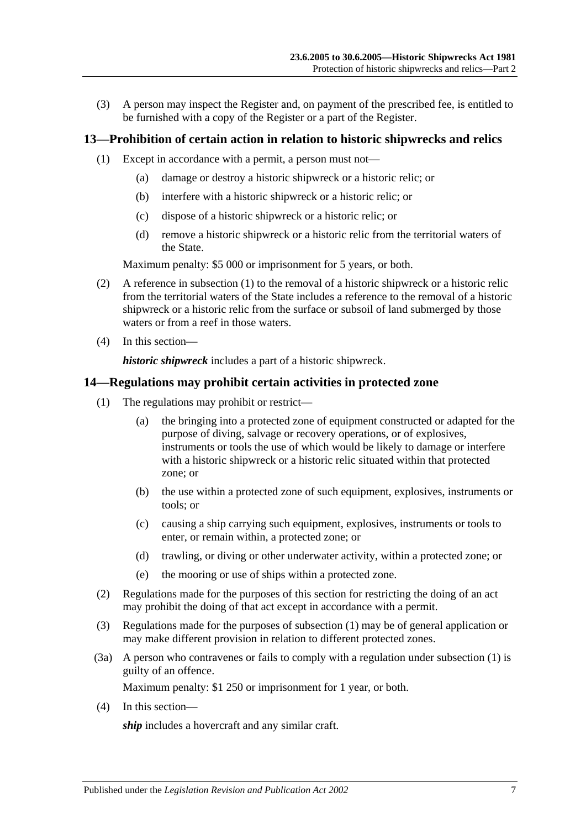(3) A person may inspect the Register and, on payment of the prescribed fee, is entitled to be furnished with a copy of the Register or a part of the Register.

### <span id="page-6-2"></span><span id="page-6-0"></span>**13—Prohibition of certain action in relation to historic shipwrecks and relics**

- (1) Except in accordance with a permit, a person must not—
	- (a) damage or destroy a historic shipwreck or a historic relic; or
	- (b) interfere with a historic shipwreck or a historic relic; or
	- (c) dispose of a historic shipwreck or a historic relic; or
	- (d) remove a historic shipwreck or a historic relic from the territorial waters of the State.

Maximum penalty: \$5 000 or imprisonment for 5 years, or both.

- (2) A reference in [subsection](#page-6-2) (1) to the removal of a historic shipwreck or a historic relic from the territorial waters of the State includes a reference to the removal of a historic shipwreck or a historic relic from the surface or subsoil of land submerged by those waters or from a reef in those waters.
- (4) In this section—

*historic shipwreck* includes a part of a historic shipwreck.

#### <span id="page-6-3"></span><span id="page-6-1"></span>**14—Regulations may prohibit certain activities in protected zone**

- (1) The regulations may prohibit or restrict—
	- (a) the bringing into a protected zone of equipment constructed or adapted for the purpose of diving, salvage or recovery operations, or of explosives, instruments or tools the use of which would be likely to damage or interfere with a historic shipwreck or a historic relic situated within that protected zone; or
	- (b) the use within a protected zone of such equipment, explosives, instruments or tools; or
	- (c) causing a ship carrying such equipment, explosives, instruments or tools to enter, or remain within, a protected zone; or
	- (d) trawling, or diving or other underwater activity, within a protected zone; or
	- (e) the mooring or use of ships within a protected zone.
- (2) Regulations made for the purposes of this section for restricting the doing of an act may prohibit the doing of that act except in accordance with a permit.
- (3) Regulations made for the purposes of [subsection](#page-6-3) (1) may be of general application or may make different provision in relation to different protected zones.
- (3a) A person who contravenes or fails to comply with a regulation under [subsection](#page-6-3) (1) is guilty of an offence.

Maximum penalty: \$1 250 or imprisonment for 1 year, or both.

(4) In this section—

*ship* includes a hovercraft and any similar craft.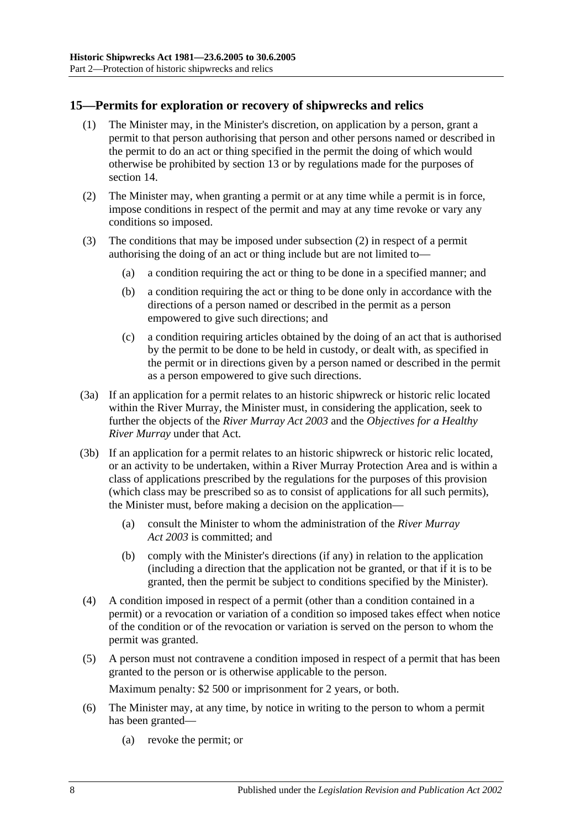# <span id="page-7-0"></span>**15—Permits for exploration or recovery of shipwrecks and relics**

- (1) The Minister may, in the Minister's discretion, on application by a person, grant a permit to that person authorising that person and other persons named or described in the permit to do an act or thing specified in the permit the doing of which would otherwise be prohibited by [section](#page-6-0) 13 or by regulations made for the purposes of [section](#page-6-1) 14.
- <span id="page-7-1"></span>(2) The Minister may, when granting a permit or at any time while a permit is in force, impose conditions in respect of the permit and may at any time revoke or vary any conditions so imposed.
- (3) The conditions that may be imposed under [subsection](#page-7-1) (2) in respect of a permit authorising the doing of an act or thing include but are not limited to—
	- (a) a condition requiring the act or thing to be done in a specified manner; and
	- (b) a condition requiring the act or thing to be done only in accordance with the directions of a person named or described in the permit as a person empowered to give such directions; and
	- (c) a condition requiring articles obtained by the doing of an act that is authorised by the permit to be done to be held in custody, or dealt with, as specified in the permit or in directions given by a person named or described in the permit as a person empowered to give such directions.
- (3a) If an application for a permit relates to an historic shipwreck or historic relic located within the River Murray, the Minister must, in considering the application, seek to further the objects of the *[River Murray Act](http://www.legislation.sa.gov.au/index.aspx?action=legref&type=act&legtitle=River%20Murray%20Act%202003) 2003* and the *Objectives for a Healthy River Murray* under that Act.
- (3b) If an application for a permit relates to an historic shipwreck or historic relic located, or an activity to be undertaken, within a River Murray Protection Area and is within a class of applications prescribed by the regulations for the purposes of this provision (which class may be prescribed so as to consist of applications for all such permits), the Minister must, before making a decision on the application—
	- (a) consult the Minister to whom the administration of the *[River Murray](http://www.legislation.sa.gov.au/index.aspx?action=legref&type=act&legtitle=River%20Murray%20Act%202003)  Act [2003](http://www.legislation.sa.gov.au/index.aspx?action=legref&type=act&legtitle=River%20Murray%20Act%202003)* is committed; and
	- (b) comply with the Minister's directions (if any) in relation to the application (including a direction that the application not be granted, or that if it is to be granted, then the permit be subject to conditions specified by the Minister).
- (4) A condition imposed in respect of a permit (other than a condition contained in a permit) or a revocation or variation of a condition so imposed takes effect when notice of the condition or of the revocation or variation is served on the person to whom the permit was granted.
- <span id="page-7-2"></span>(5) A person must not contravene a condition imposed in respect of a permit that has been granted to the person or is otherwise applicable to the person.

Maximum penalty: \$2 500 or imprisonment for 2 years, or both.

- (6) The Minister may, at any time, by notice in writing to the person to whom a permit has been granted—
	- (a) revoke the permit; or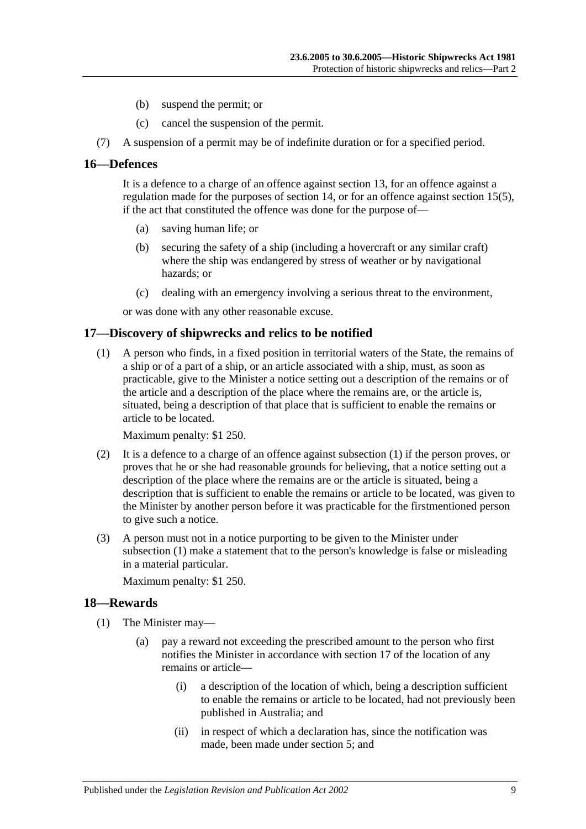- (b) suspend the permit; or
- (c) cancel the suspension of the permit.
- (7) A suspension of a permit may be of indefinite duration or for a specified period.

#### <span id="page-8-0"></span>**16—Defences**

It is a defence to a charge of an offence against [section](#page-6-0) 13, for an offence against a regulation made for the purposes of [section](#page-6-1) 14, or for an offence against [section](#page-7-2) 15(5), if the act that constituted the offence was done for the purpose of—

- (a) saving human life; or
- (b) securing the safety of a ship (including a hovercraft or any similar craft) where the ship was endangered by stress of weather or by navigational hazards; or
- (c) dealing with an emergency involving a serious threat to the environment,

or was done with any other reasonable excuse.

#### <span id="page-8-3"></span><span id="page-8-1"></span>**17—Discovery of shipwrecks and relics to be notified**

(1) A person who finds, in a fixed position in territorial waters of the State, the remains of a ship or of a part of a ship, or an article associated with a ship, must, as soon as practicable, give to the Minister a notice setting out a description of the remains or of the article and a description of the place where the remains are, or the article is, situated, being a description of that place that is sufficient to enable the remains or article to be located.

Maximum penalty: \$1 250.

- (2) It is a defence to a charge of an offence against [subsection](#page-8-3) (1) if the person proves, or proves that he or she had reasonable grounds for believing, that a notice setting out a description of the place where the remains are or the article is situated, being a description that is sufficient to enable the remains or article to be located, was given to the Minister by another person before it was practicable for the firstmentioned person to give such a notice.
- (3) A person must not in a notice purporting to be given to the Minister under [subsection](#page-8-3) (1) make a statement that to the person's knowledge is false or misleading in a material particular.

Maximum penalty: \$1 250.

#### <span id="page-8-4"></span><span id="page-8-2"></span>**18—Rewards**

- (1) The Minister may—
	- (a) pay a reward not exceeding the prescribed amount to the person who first notifies the Minister in accordance with [section](#page-8-1) 17 of the location of any remains or article—
		- (i) a description of the location of which, being a description sufficient to enable the remains or article to be located, had not previously been published in Australia; and
		- (ii) in respect of which a declaration has, since the notification was made, been made under section 5; and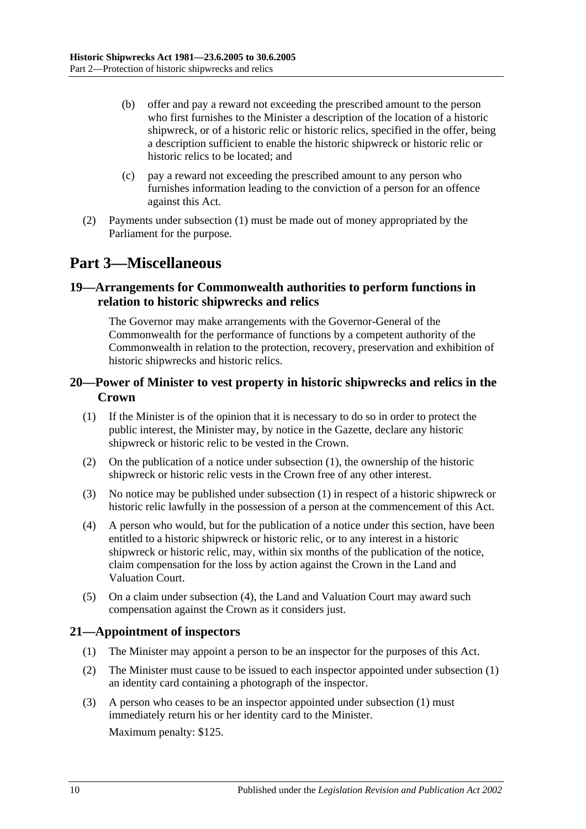- (b) offer and pay a reward not exceeding the prescribed amount to the person who first furnishes to the Minister a description of the location of a historic shipwreck, or of a historic relic or historic relics, specified in the offer, being a description sufficient to enable the historic shipwreck or historic relic or historic relics to be located; and
- (c) pay a reward not exceeding the prescribed amount to any person who furnishes information leading to the conviction of a person for an offence against this Act.
- (2) Payments under [subsection](#page-8-4) (1) must be made out of money appropriated by the Parliament for the purpose.

# <span id="page-9-0"></span>**Part 3—Miscellaneous**

# <span id="page-9-1"></span>**19—Arrangements for Commonwealth authorities to perform functions in relation to historic shipwrecks and relics**

The Governor may make arrangements with the Governor-General of the Commonwealth for the performance of functions by a competent authority of the Commonwealth in relation to the protection, recovery, preservation and exhibition of historic shipwrecks and historic relics.

### <span id="page-9-2"></span>**20—Power of Minister to vest property in historic shipwrecks and relics in the Crown**

- <span id="page-9-4"></span>(1) If the Minister is of the opinion that it is necessary to do so in order to protect the public interest, the Minister may, by notice in the Gazette, declare any historic shipwreck or historic relic to be vested in the Crown.
- (2) On the publication of a notice under [subsection](#page-9-4) (1), the ownership of the historic shipwreck or historic relic vests in the Crown free of any other interest.
- (3) No notice may be published under [subsection](#page-9-4) (1) in respect of a historic shipwreck or historic relic lawfully in the possession of a person at the commencement of this Act.
- <span id="page-9-5"></span>(4) A person who would, but for the publication of a notice under this section, have been entitled to a historic shipwreck or historic relic, or to any interest in a historic shipwreck or historic relic, may, within six months of the publication of the notice, claim compensation for the loss by action against the Crown in the Land and Valuation Court.
- (5) On a claim under [subsection](#page-9-5) (4), the Land and Valuation Court may award such compensation against the Crown as it considers just.

#### <span id="page-9-6"></span><span id="page-9-3"></span>**21—Appointment of inspectors**

- (1) The Minister may appoint a person to be an inspector for the purposes of this Act.
- (2) The Minister must cause to be issued to each inspector appointed under [subsection](#page-9-6) (1) an identity card containing a photograph of the inspector.
- (3) A person who ceases to be an inspector appointed under [subsection](#page-9-6) (1) must immediately return his or her identity card to the Minister. Maximum penalty: \$125.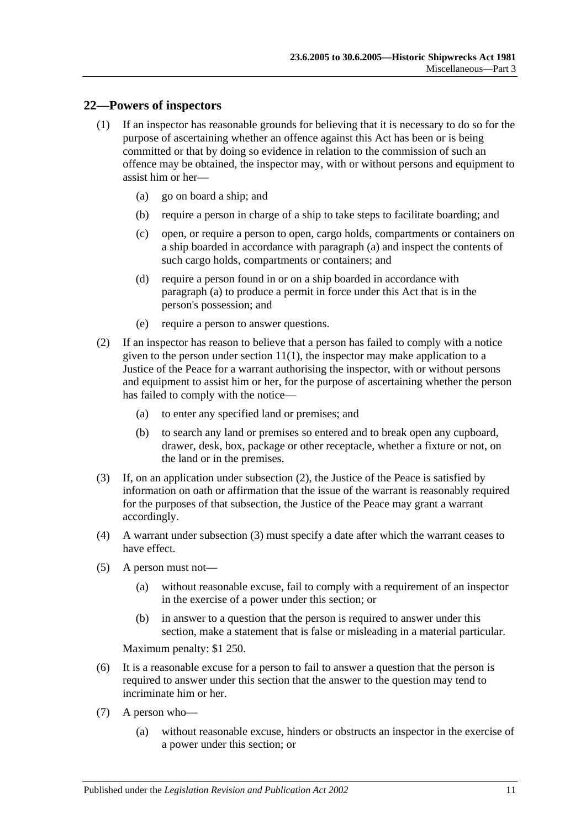#### <span id="page-10-0"></span>**22—Powers of inspectors**

- <span id="page-10-1"></span>(1) If an inspector has reasonable grounds for believing that it is necessary to do so for the purpose of ascertaining whether an offence against this Act has been or is being committed or that by doing so evidence in relation to the commission of such an offence may be obtained, the inspector may, with or without persons and equipment to assist him or her—
	- (a) go on board a ship; and
	- (b) require a person in charge of a ship to take steps to facilitate boarding; and
	- (c) open, or require a person to open, cargo holds, compartments or containers on a ship boarded in accordance with [paragraph](#page-10-1) (a) and inspect the contents of such cargo holds, compartments or containers; and
	- (d) require a person found in or on a ship boarded in accordance with [paragraph](#page-10-1) (a) to produce a permit in force under this Act that is in the person's possession; and
	- (e) require a person to answer questions.
- <span id="page-10-2"></span>(2) If an inspector has reason to believe that a person has failed to comply with a notice given to the person under [section](#page-5-2)  $11(1)$ , the inspector may make application to a Justice of the Peace for a warrant authorising the inspector, with or without persons and equipment to assist him or her, for the purpose of ascertaining whether the person has failed to comply with the notice—
	- (a) to enter any specified land or premises; and
	- (b) to search any land or premises so entered and to break open any cupboard, drawer, desk, box, package or other receptacle, whether a fixture or not, on the land or in the premises.
- <span id="page-10-3"></span>(3) If, on an application under [subsection](#page-10-2) (2), the Justice of the Peace is satisfied by information on oath or affirmation that the issue of the warrant is reasonably required for the purposes of that subsection, the Justice of the Peace may grant a warrant accordingly.
- (4) A warrant under [subsection](#page-10-3) (3) must specify a date after which the warrant ceases to have effect.
- (5) A person must not—
	- (a) without reasonable excuse, fail to comply with a requirement of an inspector in the exercise of a power under this section; or
	- (b) in answer to a question that the person is required to answer under this section, make a statement that is false or misleading in a material particular.

Maximum penalty: \$1 250.

- (6) It is a reasonable excuse for a person to fail to answer a question that the person is required to answer under this section that the answer to the question may tend to incriminate him or her.
- (7) A person who—
	- (a) without reasonable excuse, hinders or obstructs an inspector in the exercise of a power under this section; or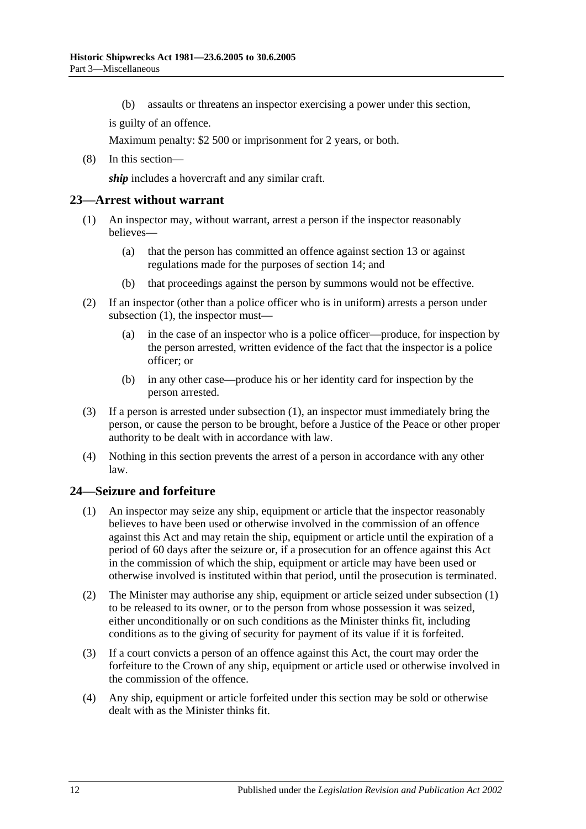(b) assaults or threatens an inspector exercising a power under this section,

is guilty of an offence.

Maximum penalty: \$2 500 or imprisonment for 2 years, or both.

(8) In this section—

*ship* includes a hovercraft and any similar craft.

#### <span id="page-11-2"></span><span id="page-11-0"></span>**23—Arrest without warrant**

- (1) An inspector may, without warrant, arrest a person if the inspector reasonably believes—
	- (a) that the person has committed an offence against [section](#page-6-0) 13 or against regulations made for the purposes of [section](#page-6-1) 14; and
	- (b) that proceedings against the person by summons would not be effective.
- (2) If an inspector (other than a police officer who is in uniform) arrests a person under [subsection](#page-11-2) (1), the inspector must—
	- (a) in the case of an inspector who is a police officer—produce, for inspection by the person arrested, written evidence of the fact that the inspector is a police officer; or
	- (b) in any other case—produce his or her identity card for inspection by the person arrested.
- (3) If a person is arrested under [subsection](#page-11-2) (1), an inspector must immediately bring the person, or cause the person to be brought, before a Justice of the Peace or other proper authority to be dealt with in accordance with law.
- (4) Nothing in this section prevents the arrest of a person in accordance with any other law.

#### <span id="page-11-3"></span><span id="page-11-1"></span>**24—Seizure and forfeiture**

- (1) An inspector may seize any ship, equipment or article that the inspector reasonably believes to have been used or otherwise involved in the commission of an offence against this Act and may retain the ship, equipment or article until the expiration of a period of 60 days after the seizure or, if a prosecution for an offence against this Act in the commission of which the ship, equipment or article may have been used or otherwise involved is instituted within that period, until the prosecution is terminated.
- (2) The Minister may authorise any ship, equipment or article seized under [subsection](#page-11-3) (1) to be released to its owner, or to the person from whose possession it was seized, either unconditionally or on such conditions as the Minister thinks fit, including conditions as to the giving of security for payment of its value if it is forfeited.
- (3) If a court convicts a person of an offence against this Act, the court may order the forfeiture to the Crown of any ship, equipment or article used or otherwise involved in the commission of the offence.
- (4) Any ship, equipment or article forfeited under this section may be sold or otherwise dealt with as the Minister thinks fit.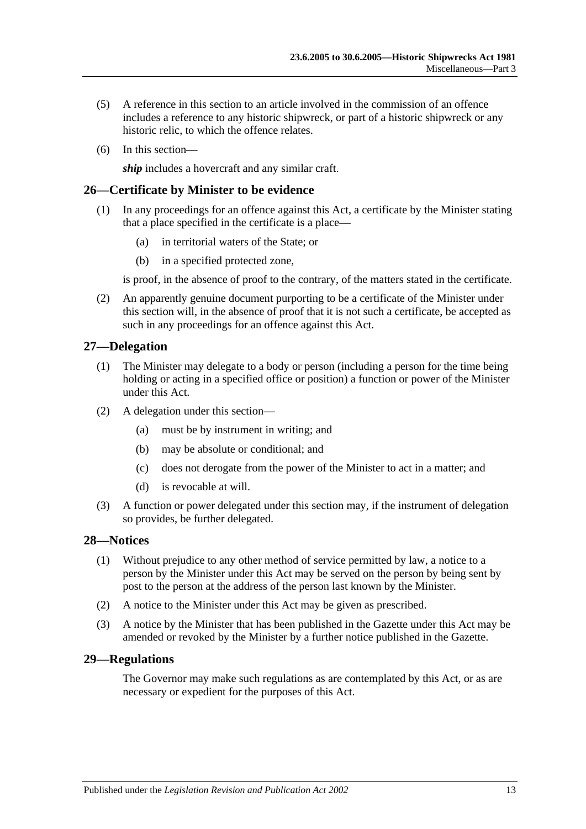- (5) A reference in this section to an article involved in the commission of an offence includes a reference to any historic shipwreck, or part of a historic shipwreck or any historic relic, to which the offence relates.
- (6) In this section—

*ship* includes a hovercraft and any similar craft.

#### <span id="page-12-0"></span>**26—Certificate by Minister to be evidence**

- (1) In any proceedings for an offence against this Act, a certificate by the Minister stating that a place specified in the certificate is a place—
	- (a) in territorial waters of the State; or
	- (b) in a specified protected zone,

is proof, in the absence of proof to the contrary, of the matters stated in the certificate.

(2) An apparently genuine document purporting to be a certificate of the Minister under this section will, in the absence of proof that it is not such a certificate, be accepted as such in any proceedings for an offence against this Act.

#### <span id="page-12-1"></span>**27—Delegation**

- (1) The Minister may delegate to a body or person (including a person for the time being holding or acting in a specified office or position) a function or power of the Minister under this Act.
- (2) A delegation under this section—
	- (a) must be by instrument in writing; and
	- (b) may be absolute or conditional; and
	- (c) does not derogate from the power of the Minister to act in a matter; and
	- (d) is revocable at will.
- (3) A function or power delegated under this section may, if the instrument of delegation so provides, be further delegated.

#### <span id="page-12-2"></span>**28—Notices**

- (1) Without prejudice to any other method of service permitted by law, a notice to a person by the Minister under this Act may be served on the person by being sent by post to the person at the address of the person last known by the Minister.
- (2) A notice to the Minister under this Act may be given as prescribed.
- (3) A notice by the Minister that has been published in the Gazette under this Act may be amended or revoked by the Minister by a further notice published in the Gazette.

#### <span id="page-12-3"></span>**29—Regulations**

The Governor may make such regulations as are contemplated by this Act, or as are necessary or expedient for the purposes of this Act.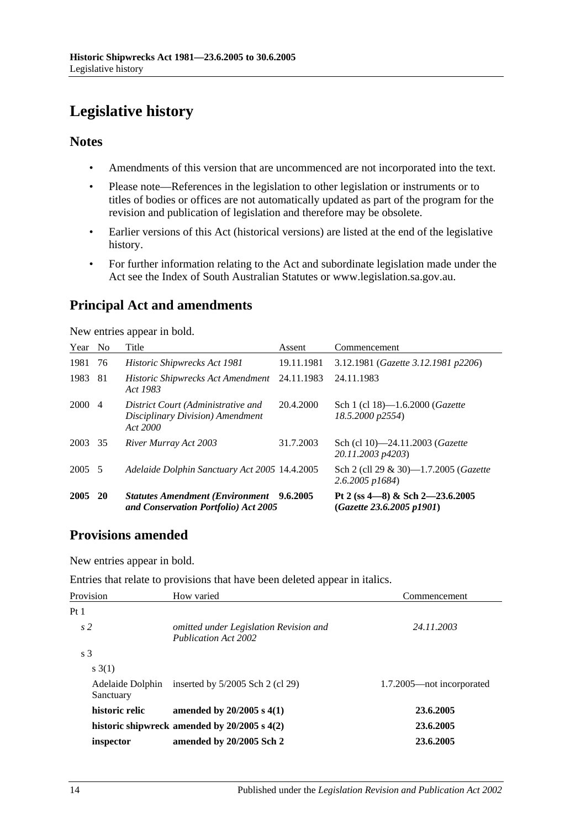# <span id="page-13-0"></span>**Legislative history**

# **Notes**

- Amendments of this version that are uncommenced are not incorporated into the text.
- Please note—References in the legislation to other legislation or instruments or to titles of bodies or offices are not automatically updated as part of the program for the revision and publication of legislation and therefore may be obsolete.
- Earlier versions of this Act (historical versions) are listed at the end of the legislative history.
- For further information relating to the Act and subordinate legislation made under the Act see the Index of South Australian Statutes or www.legislation.sa.gov.au.

# **Principal Act and amendments**

New entries appear in bold.

| Year   | N <sub>0</sub> | Title                                                                                   | Assent     | Commencement                                                    |
|--------|----------------|-----------------------------------------------------------------------------------------|------------|-----------------------------------------------------------------|
| 1981   | 76             | Historic Shipwrecks Act 1981                                                            | 19.11.1981 | 3.12.1981 (Gazette 3.12.1981 p2206)                             |
| 1983   | 81             | Historic Shipwrecks Act Amendment 24.11.1983<br>Act 1983                                |            | 24.11.1983                                                      |
| 2000   | $\overline{4}$ | District Court (Administrative and<br>Disciplinary Division) Amendment<br>Act 2000      | 20.4.2000  | Sch 1 (cl 18)-1.6.2000 (Gazette<br>18.5.2000 p2554)             |
| 2003   | 35             | River Murray Act 2003                                                                   | 31.7.2003  | Sch (cl 10)-24.11.2003 (Gazette<br>20.11.2003 p4203)            |
| 2005 5 |                | Adelaide Dolphin Sanctuary Act 2005 14.4.2005                                           |            | Sch 2 (cll 29 & 30)—1.7.2005 (Gazette<br>$2.6.2005$ $p1684$     |
| 2005   | <b>20</b>      | <b>Statutes Amendment (Environment</b> 9.6.2005<br>and Conservation Portfolio) Act 2005 |            | Pt 2 (ss $4-8$ ) & Sch 2-23.6.2005<br>(Gazette 23.6.2005 p1901) |

# **Provisions amended**

New entries appear in bold.

Entries that relate to provisions that have been deleted appear in italics.

| Provision                     | How varied                                                     | Commencement              |  |
|-------------------------------|----------------------------------------------------------------|---------------------------|--|
| Pt 1                          |                                                                |                           |  |
| s <sub>2</sub>                | omitted under Legislation Revision and<br>Publication Act 2002 | 24.11.2003                |  |
| s <sub>3</sub>                |                                                                |                           |  |
| s(3(1))                       |                                                                |                           |  |
| Adelaide Dolphin<br>Sanctuary | inserted by $5/2005$ Sch 2 (cl 29)                             | 1.7.2005—not incorporated |  |
| historic relic                | amended by $20/2005$ s $4(1)$                                  | 23.6.2005                 |  |
|                               | historic shipwreck amended by $20/2005$ s $4(2)$               | 23.6.2005                 |  |
| inspector                     | amended by 20/2005 Sch 2                                       | 23.6.2005                 |  |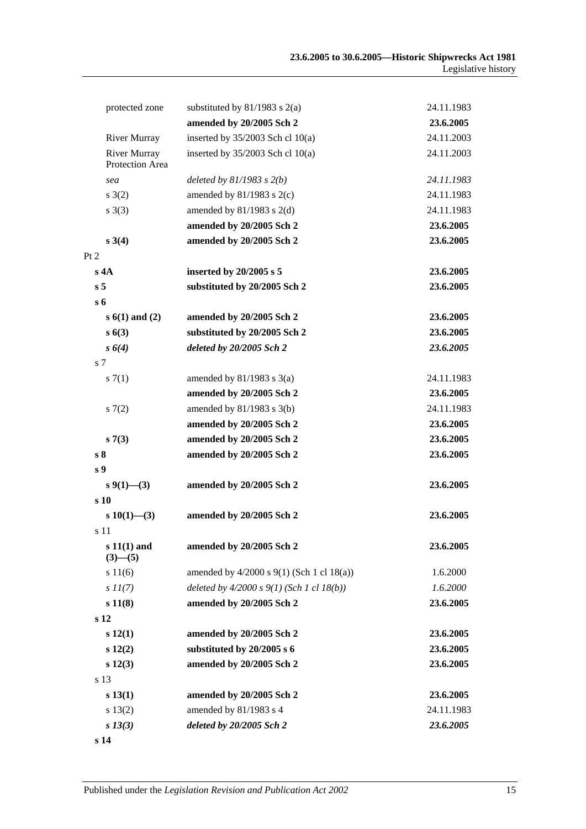| protected zone                         | substituted by $81/1983$ s 2(a)               | 24.11.1983 |
|----------------------------------------|-----------------------------------------------|------------|
|                                        | amended by 20/2005 Sch 2                      | 23.6.2005  |
| <b>River Murray</b>                    | inserted by $35/2003$ Sch cl $10(a)$          | 24.11.2003 |
| <b>River Murray</b><br>Protection Area | inserted by $35/2003$ Sch cl $10(a)$          | 24.11.2003 |
| sea                                    | deleted by $81/1983$ s $2(b)$                 | 24.11.1983 |
| s(2)                                   | amended by $81/1983$ s $2(c)$                 | 24.11.1983 |
| s(3)                                   | amended by $81/1983$ s $2(d)$                 | 24.11.1983 |
|                                        | amended by 20/2005 Sch 2                      | 23.6.2005  |
| $s \; 3(4)$                            | amended by 20/2005 Sch 2                      | 23.6.2005  |
| Pt 2                                   |                                               |            |
| s 4A                                   | inserted by 20/2005 s 5                       | 23.6.2005  |
| s <sub>5</sub>                         | substituted by 20/2005 Sch 2                  | 23.6.2005  |
| $s_{\rm 6}$                            |                                               |            |
| $s(1)$ and $(2)$                       | amended by 20/2005 Sch 2                      | 23.6.2005  |
| s(63)                                  | substituted by 20/2005 Sch 2                  | 23.6.2005  |
| $s \; 6(4)$                            | deleted by 20/2005 Sch 2                      | 23.6.2005  |
| s 7                                    |                                               |            |
| s(7(1)                                 | amended by $81/1983$ s $3(a)$                 | 24.11.1983 |
|                                        | amended by 20/2005 Sch 2                      | 23.6.2005  |
| s(7(2)                                 | amended by $81/1983$ s $3(b)$                 | 24.11.1983 |
|                                        | amended by 20/2005 Sch 2                      | 23.6.2005  |
| s7(3)                                  | amended by 20/2005 Sch 2                      | 23.6.2005  |
| s <sub>8</sub>                         | amended by 20/2005 Sch 2                      | 23.6.2005  |
| s <sub>9</sub>                         |                                               |            |
| $s\,9(1)$ —(3)                         | amended by 20/2005 Sch 2                      | 23.6.2005  |
| s 10                                   |                                               |            |
| $s\ 10(1)$ —(3)                        | amended by 20/2005 Sch 2                      | 23.6.2005  |
| s 11<br>$s 11(1)$ and<br>$(3)$ — $(5)$ | amended by 20/2005 Sch 2                      | 23.6.2005  |
| s 11(6)                                | amended by $4/2000$ s $9(1)$ (Sch 1 cl 18(a)) | 1.6.2000   |
| $s\,II(7)$                             | deleted by $4/2000 s 9(1)$ (Sch 1 cl 18(b))   | 1.6.2000   |
| s 11(8)                                | amended by 20/2005 Sch 2                      | 23.6.2005  |
| s 12                                   |                                               |            |
| s 12(1)                                | amended by 20/2005 Sch 2                      | 23.6.2005  |
| s 12(2)                                | substituted by 20/2005 s 6                    | 23.6.2005  |
| s 12(3)                                | amended by 20/2005 Sch 2                      | 23.6.2005  |
| s 13                                   |                                               |            |
| s 13(1)                                | amended by 20/2005 Sch 2                      | 23.6.2005  |
| s 13(2)                                | amended by 81/1983 s 4                        | 24.11.1983 |
| $s\,13(3)$                             | deleted by 20/2005 Sch 2                      | 23.6.2005  |
| s 14                                   |                                               |            |